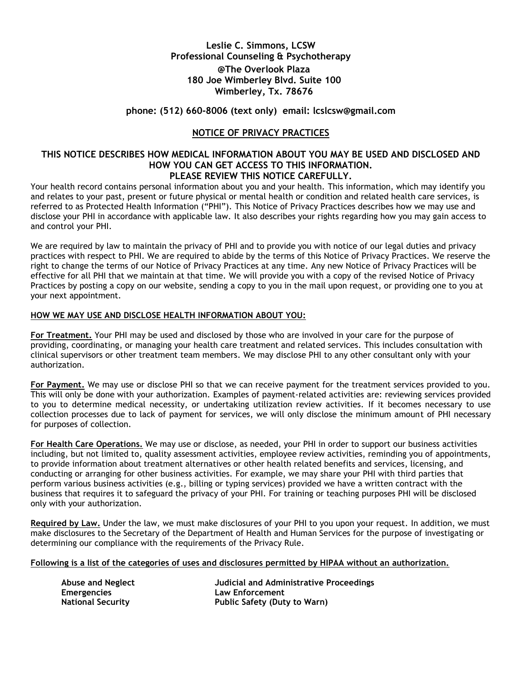# **Leslie C. Simmons, LCSW Professional Counseling & Psychotherapy @The Overlook Plaza 180 Joe Wimberley Blvd. Suite 100 Wimberley, Tx. 78676**

## **phone: (512) 660-8006 (text only) email: lcslcsw@gmail.com**

## **NOTICE OF PRIVACY PRACTICES**

### **THIS NOTICE DESCRIBES HOW MEDICAL INFORMATION ABOUT YOU MAY BE USED AND DISCLOSED AND HOW YOU CAN GET ACCESS TO THIS INFORMATION. PLEASE REVIEW THIS NOTICE CAREFULLY.**

Your health record contains personal information about you and your health. This information, which may identify you and relates to your past, present or future physical or mental health or condition and related health care services, is referred to as Protected Health Information ("PHI"). This Notice of Privacy Practices describes how we may use and disclose your PHI in accordance with applicable law. It also describes your rights regarding how you may gain access to and control your PHI.

We are required by law to maintain the privacy of PHI and to provide you with notice of our legal duties and privacy practices with respect to PHI. We are required to abide by the terms of this Notice of Privacy Practices. We reserve the right to change the terms of our Notice of Privacy Practices at any time. Any new Notice of Privacy Practices will be effective for all PHI that we maintain at that time. We will provide you with a copy of the revised Notice of Privacy Practices by posting a copy on our website, sending a copy to you in the mail upon request, or providing one to you at your next appointment.

#### **HOW WE MAY USE AND DISCLOSE HEALTH INFORMATION ABOUT YOU:**

**For Treatment.** Your PHI may be used and disclosed by those who are involved in your care for the purpose of providing, coordinating, or managing your health care treatment and related services. This includes consultation with clinical supervisors or other treatment team members. We may disclose PHI to any other consultant only with your authorization.

**For Payment.** We may use or disclose PHI so that we can receive payment for the treatment services provided to you. This will only be done with your authorization. Examples of payment-related activities are: reviewing services provided to you to determine medical necessity, or undertaking utilization review activities. If it becomes necessary to use collection processes due to lack of payment for services, we will only disclose the minimum amount of PHI necessary for purposes of collection.

**For Health Care Operations.** We may use or disclose, as needed, your PHI in order to support our business activities including, but not limited to, quality assessment activities, employee review activities, reminding you of appointments, to provide information about treatment alternatives or other health related benefits and services, licensing, and conducting or arranging for other business activities. For example, we may share your PHI with third parties that perform various business activities (e.g., billing or typing services) provided we have a written contract with the business that requires it to safeguard the privacy of your PHI. For training or teaching purposes PHI will be disclosed only with your authorization.

**Required by Law.** Under the law, we must make disclosures of your PHI to you upon your request. In addition, we must make disclosures to the Secretary of the Department of Health and Human Services for the purpose of investigating or determining our compliance with the requirements of the Privacy Rule.

### **Following is a list of the categories of uses and disclosures permitted by HIPAA without an authorization.**

**Emergencies Law Enforcement**

**Abuse and Neglect Judicial and Administrative Proceedings National Security Public Safety (Duty to Warn)**